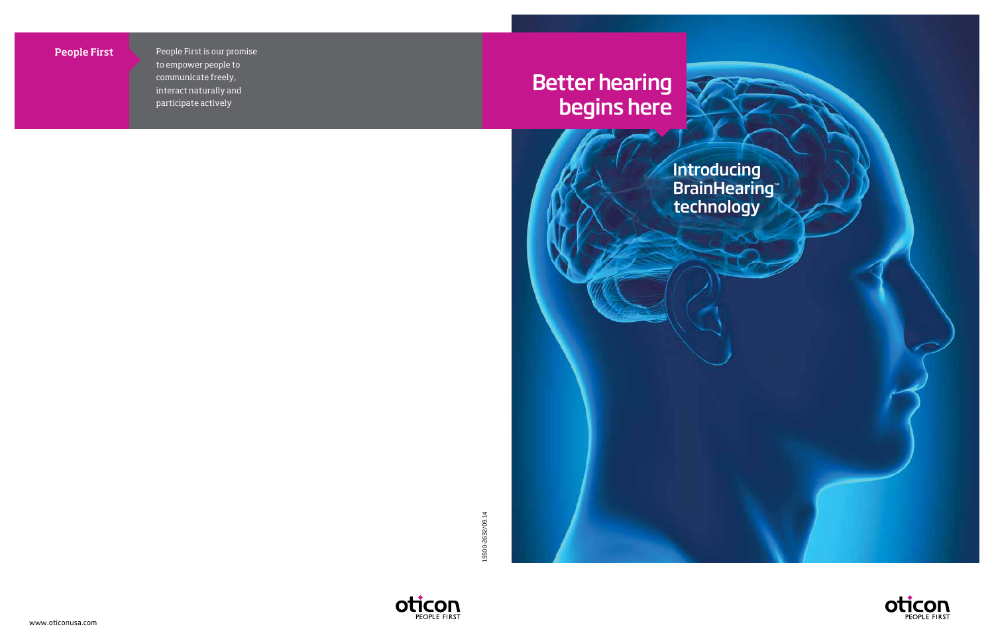People First People First is our promise to empower people to communicate freely, interact naturally and interact naturally and participate actively participate actively People First is our promise





15500-2632/09.14 15500-2632/09.14





# Better hearing begins here



Introducing **BrainHearing™** technology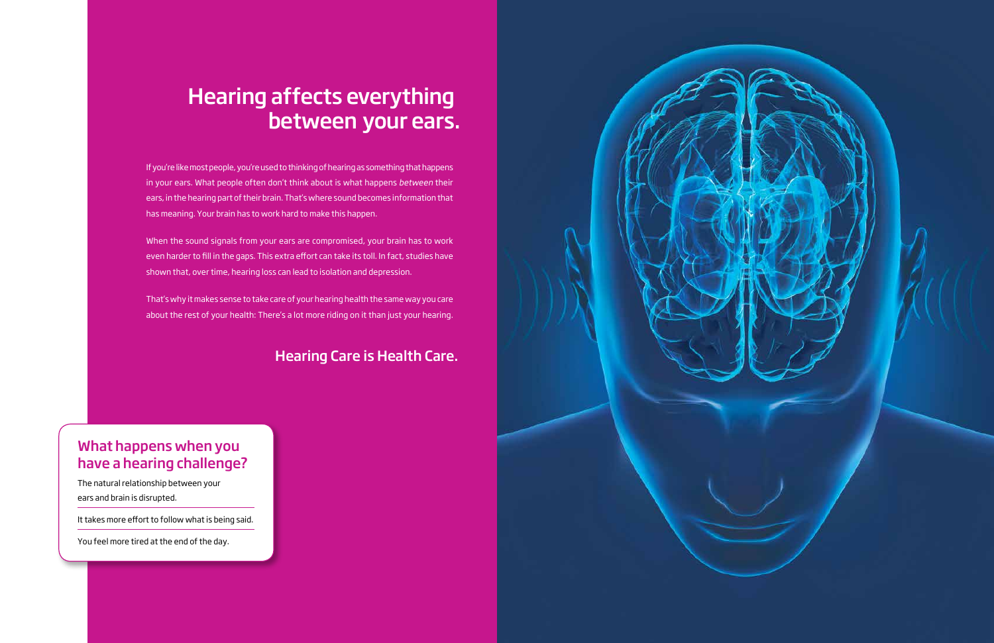If you're like most people, you're used to thinking of hearing as something that happens in your ears. What people often don't think about is what happens *between* their ears, in the hearing part of their brain. That's where sound becomes information that has meaning. Your brain has to work hard to make this happen.

When the sound signals from your ears are compromised, your brain has to work even harder to fill in the gaps. This extra effort can take its toll. In fact, studies have shown that, over time, hearing loss can lead to isolation and depression.

That's why it makes sense to take care of your hearing health the same way you care about the rest of your health: There's a lot more riding on it than just your hearing.

# Hearing affects everything between your ears.

### What happens when you have a hearing challenge?

The natural relationship between your ears and brain is disrupted.

It takes more effort to follow what is being said.

You feel more tired at the end of the day.



## Hearing Care is Health Care.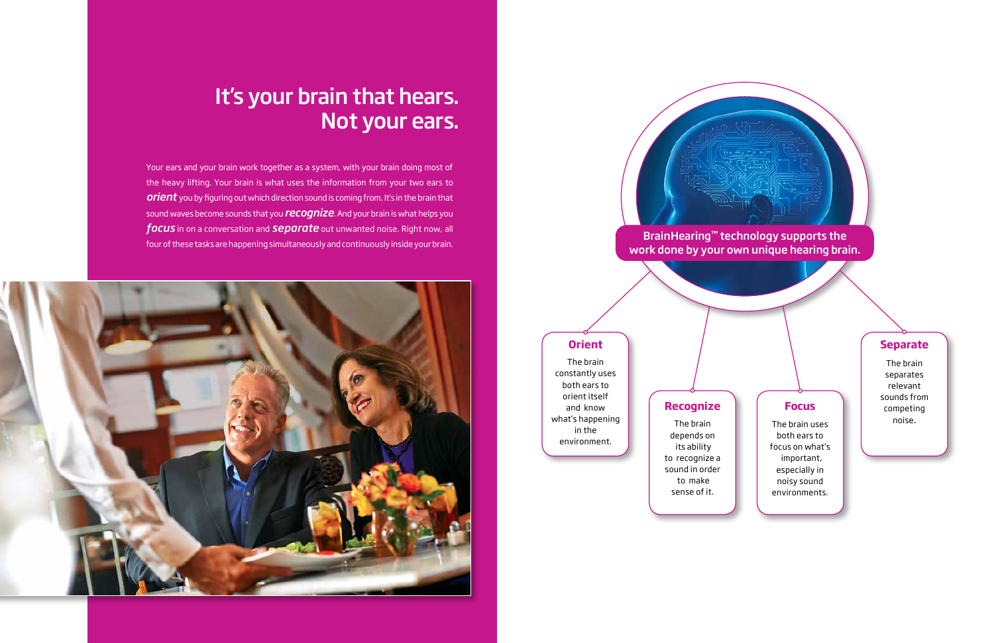#### **Recognize**

The brain depends on its ability to recognize a sound in order to make sense of it.

Your ears and your brain work together as a system, with your brain doing most of the heavy lifting. Your brain is what uses the information from your two ears to *orient* you by figuring out which direction sound is coming from. It's in the brain that sound waves become sounds that you *recognize*. And your brain is what helps you *focus* in on a conversation and *separate* out unwanted noise. Right now, all four of these tasks are happening simultaneously and continuously inside your brain.



#### **Separate**

The brain separates relevant sounds from competing noise.

#### **Focus**

The brain uses both ears to focus on what's important, especially in noisy sound environments.

#### **Orient**

The brain constantly uses both ears to orient itself and know what's happening in the environment.

## It's your brain that hears. Not your ears.

#### BrainHearing™ technology supports the work done by your own unique hearing brain.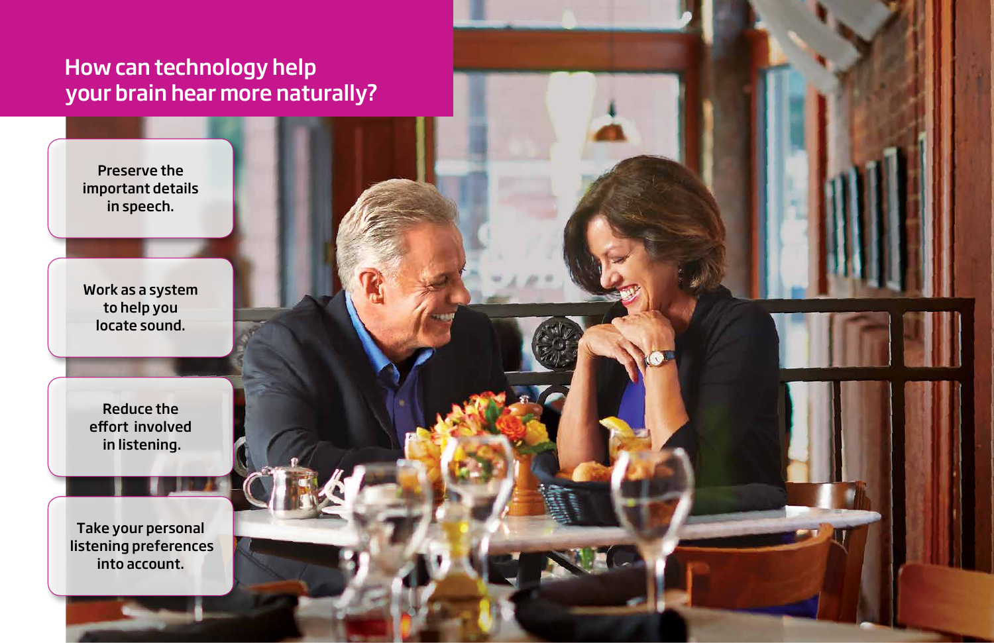# How can technology help your brain hear more naturally?

Reduce the effort involved in listening.

Take your personal listening preferences into account.



Work as a system to help you locate sound.

Preserve the important details in speech.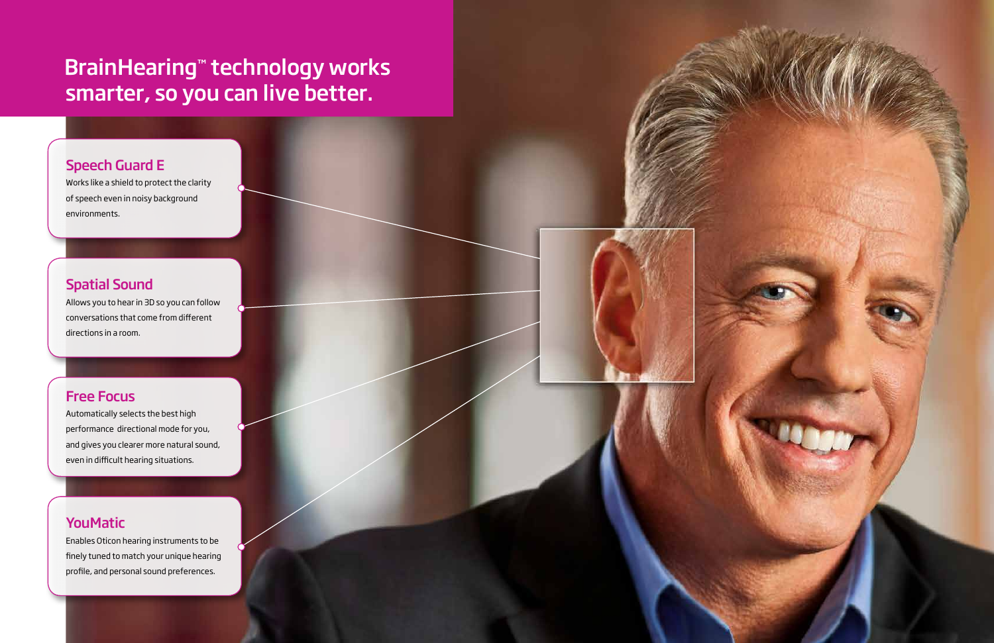# BrainHearing™ technology works smarter, so you can live better.

### Speech Guard E

Works like a shield to protect the clarity of speech even in noisy background environments.

## Spatial Sound

Allows you to hear in 3D so you can follow conversations that come from different directions in a room.

## Free Focus

Automatically selects the best high performance directional mode for you, and gives you clearer more natural sound, even in difficult hearing situations.

## **YouMatic**

Enables Oticon hearing instruments to be finely tuned to match your unique hearing profile, and personal sound preferences.